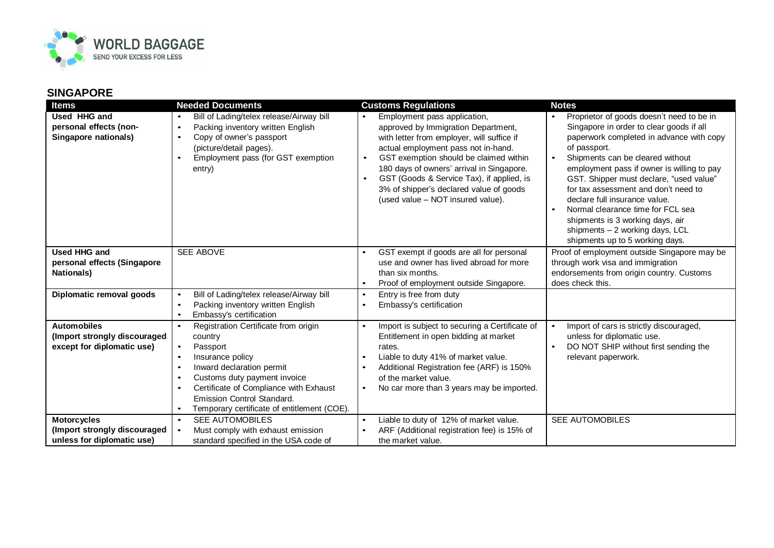

## **SINGAPORE**

| <b>Items</b>                                                                     | <b>Needed Documents</b>                                                                                                                                                                                                                                                                                                                                        | <b>Customs Regulations</b>                                                                                                                                                                                                                                                                                                                                                                | <b>Notes</b>                                                                                                                                                                                                                                                                                                                                                                                                                                                                                           |
|----------------------------------------------------------------------------------|----------------------------------------------------------------------------------------------------------------------------------------------------------------------------------------------------------------------------------------------------------------------------------------------------------------------------------------------------------------|-------------------------------------------------------------------------------------------------------------------------------------------------------------------------------------------------------------------------------------------------------------------------------------------------------------------------------------------------------------------------------------------|--------------------------------------------------------------------------------------------------------------------------------------------------------------------------------------------------------------------------------------------------------------------------------------------------------------------------------------------------------------------------------------------------------------------------------------------------------------------------------------------------------|
| Used HHG and<br>personal effects (non-<br>Singapore nationals)                   | Bill of Lading/telex release/Airway bill<br>Packing inventory written English<br>$\bullet$<br>Copy of owner's passport<br>$\bullet$<br>(picture/detail pages).<br>Employment pass (for GST exemption<br>entry)                                                                                                                                                 | Employment pass application,<br>approved by Immigration Department,<br>with letter from employer, will suffice if<br>actual employment pass not in-hand.<br>GST exemption should be claimed within<br>$\bullet$<br>180 days of owners' arrival in Singapore.<br>GST (Goods & Service Tax), if applied, is<br>3% of shipper's declared value of goods<br>(used value - NOT insured value). | Proprietor of goods doesn't need to be in<br>Singapore in order to clear goods if all<br>paperwork completed in advance with copy<br>of passport.<br>Shipments can be cleared without<br>employment pass if owner is willing to pay<br>GST. Shipper must declare, "used value"<br>for tax assessment and don't need to<br>declare full insurance value.<br>Normal clearance time for FCL sea<br>shipments is 3 working days, air<br>shipments - 2 working days, LCL<br>shipments up to 5 working days. |
| <b>Used HHG and</b><br>personal effects (Singapore<br><b>Nationals)</b>          | <b>SEE ABOVE</b>                                                                                                                                                                                                                                                                                                                                               | GST exempt if goods are all for personal<br>use and owner has lived abroad for more<br>than six months.<br>Proof of employment outside Singapore.<br>$\bullet$                                                                                                                                                                                                                            | Proof of employment outside Singapore may be<br>through work visa and immigration<br>endorsements from origin country. Customs<br>does check this.                                                                                                                                                                                                                                                                                                                                                     |
| Diplomatic removal goods                                                         | Bill of Lading/telex release/Airway bill<br>$\bullet$<br>Packing inventory written English<br>$\bullet$<br>Embassy's certification<br>$\bullet$                                                                                                                                                                                                                | Entry is free from duty<br>$\bullet$<br>Embassy's certification<br>$\bullet$                                                                                                                                                                                                                                                                                                              |                                                                                                                                                                                                                                                                                                                                                                                                                                                                                                        |
| <b>Automobiles</b><br>(Import strongly discouraged<br>except for diplomatic use) | Registration Certificate from origin<br>$\bullet$<br>country<br>Passport<br>$\bullet$<br>Insurance policy<br>$\bullet$<br>Inward declaration permit<br>$\bullet$<br>Customs duty payment invoice<br>$\bullet$<br>Certificate of Compliance with Exhaust<br>$\bullet$<br>Emission Control Standard.<br>Temporary certificate of entitlement (COE).<br>$\bullet$ | Import is subject to securing a Certificate of<br>Entitlement in open bidding at market<br>rates.<br>Liable to duty 41% of market value.<br>$\bullet$<br>Additional Registration fee (ARF) is 150%<br>of the market value.<br>No car more than 3 years may be imported.                                                                                                                   | Import of cars is strictly discouraged,<br>unless for diplomatic use.<br>DO NOT SHIP without first sending the<br>relevant paperwork.                                                                                                                                                                                                                                                                                                                                                                  |
| <b>Motorcycles</b><br>(Import strongly discouraged<br>unless for diplomatic use) | <b>SEE AUTOMOBILES</b><br>$\bullet$<br>Must comply with exhaust emission<br>standard specified in the USA code of                                                                                                                                                                                                                                              | Liable to duty of 12% of market value.<br>$\bullet$<br>ARF (Additional registration fee) is 15% of<br>the market value.                                                                                                                                                                                                                                                                   | <b>SEE AUTOMOBILES</b>                                                                                                                                                                                                                                                                                                                                                                                                                                                                                 |